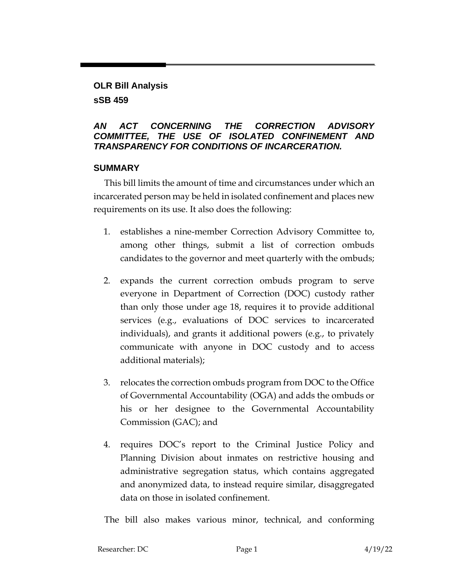## **OLR Bill Analysis sSB 459**

## *AN ACT CONCERNING THE CORRECTION ADVISORY COMMITTEE, THE USE OF ISOLATED CONFINEMENT AND TRANSPARENCY FOR CONDITIONS OF INCARCERATION.*

## **SUMMARY**

This bill limits the amount of time and circumstances under which an incarcerated person may be held in isolated confinement and places new requirements on its use. It also does the following:

- 1. establishes a nine-member Correction Advisory Committee to, among other things, submit a list of correction ombuds candidates to the governor and meet quarterly with the ombuds;
- 2. expands the current correction ombuds program to serve everyone in Department of Correction (DOC) custody rather than only those under age 18, requires it to provide additional services (e.g., evaluations of DOC services to incarcerated individuals), and grants it additional powers (e.g., to privately communicate with anyone in DOC custody and to access additional materials);
- 3. relocates the correction ombuds program from DOC to the Office of Governmental Accountability (OGA) and adds the ombuds or his or her designee to the Governmental Accountability Commission (GAC); and
- 4. requires DOC's report to the Criminal Justice Policy and Planning Division about inmates on restrictive housing and administrative segregation status, which contains aggregated and anonymized data, to instead require similar, disaggregated data on those in isolated confinement.

The bill also makes various minor, technical, and conforming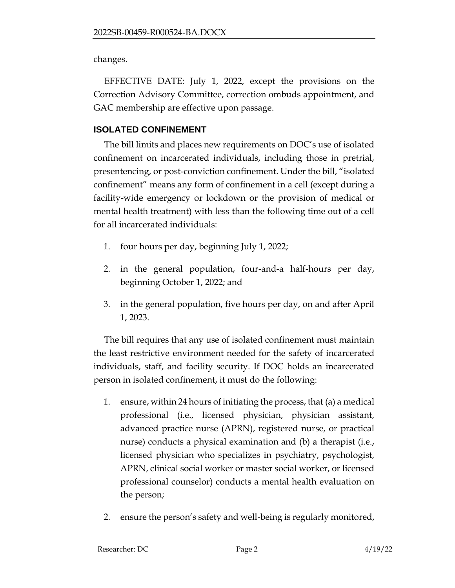changes.

EFFECTIVE DATE: July 1, 2022, except the provisions on the Correction Advisory Committee, correction ombuds appointment, and GAC membership are effective upon passage.

## **ISOLATED CONFINEMENT**

The bill limits and places new requirements on DOC's use of isolated confinement on incarcerated individuals, including those in pretrial, presentencing, or post-conviction confinement. Under the bill, "isolated confinement" means any form of confinement in a cell (except during a facility-wide emergency or lockdown or the provision of medical or mental health treatment) with less than the following time out of a cell for all incarcerated individuals:

- 1. four hours per day, beginning July 1, 2022;
- 2. in the general population, four-and-a half-hours per day, beginning October 1, 2022; and
- 3. in the general population, five hours per day, on and after April 1, 2023.

The bill requires that any use of isolated confinement must maintain the least restrictive environment needed for the safety of incarcerated individuals, staff, and facility security. If DOC holds an incarcerated person in isolated confinement, it must do the following:

- 1. ensure, within 24 hours of initiating the process, that (a) a medical professional (i.e., licensed physician, physician assistant, advanced practice nurse (APRN), registered nurse, or practical nurse) conducts a physical examination and (b) a therapist (i.e., licensed physician who specializes in psychiatry, psychologist, APRN, clinical social worker or master social worker, or licensed professional counselor) conducts a mental health evaluation on the person;
- 2. ensure the person's safety and well-being is regularly monitored,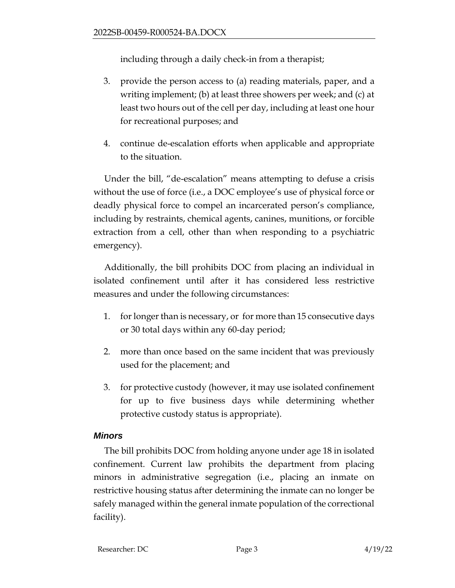including through a daily check-in from a therapist;

- 3. provide the person access to (a) reading materials, paper, and a writing implement; (b) at least three showers per week; and (c) at least two hours out of the cell per day, including at least one hour for recreational purposes; and
- 4. continue de-escalation efforts when applicable and appropriate to the situation.

Under the bill, "de-escalation" means attempting to defuse a crisis without the use of force (i.e., a DOC employee's use of physical force or deadly physical force to compel an incarcerated person's compliance, including by restraints, chemical agents, canines, munitions, or forcible extraction from a cell, other than when responding to a psychiatric emergency).

Additionally, the bill prohibits DOC from placing an individual in isolated confinement until after it has considered less restrictive measures and under the following circumstances:

- 1. for longer than is necessary, or for more than 15 consecutive days or 30 total days within any 60-day period;
- 2. more than once based on the same incident that was previously used for the placement; and
- 3. for protective custody (however, it may use isolated confinement for up to five business days while determining whether protective custody status is appropriate).

# *Minors*

The bill prohibits DOC from holding anyone under age 18 in isolated confinement. Current law prohibits the department from placing minors in administrative segregation (i.e., placing an inmate on restrictive housing status after determining the inmate can no longer be safely managed within the general inmate population of the correctional facility).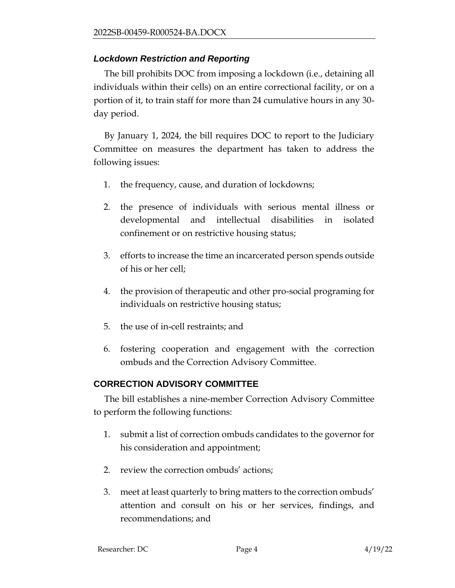#### *Lockdown Restriction and Reporting*

The bill prohibits DOC from imposing a lockdown (i.e., detaining all individuals within their cells) on an entire correctional facility, or on a portion of it, to train staff for more than 24 cumulative hours in any 30 day period.

By January 1, 2024, the bill requires DOC to report to the Judiciary Committee on measures the department has taken to address the following issues:

- 1. the frequency, cause, and duration of lockdowns;
- 2. the presence of individuals with serious mental illness or developmental and intellectual disabilities in isolated confinement or on restrictive housing status;
- 3. efforts to increase the time an incarcerated person spends outside of his or her cell;
- 4. the provision of therapeutic and other pro-social programing for individuals on restrictive housing status;
- 5. the use of in-cell restraints; and
- 6. fostering cooperation and engagement with the correction ombuds and the Correction Advisory Committee.

## **CORRECTION ADVISORY COMMITTEE**

The bill establishes a nine-member Correction Advisory Committee to perform the following functions:

- 1. submit a list of correction ombuds candidates to the governor for his consideration and appointment;
- 2. review the correction ombuds' actions;
- 3. meet at least quarterly to bring matters to the correction ombuds' attention and consult on his or her services, findings, and recommendations; and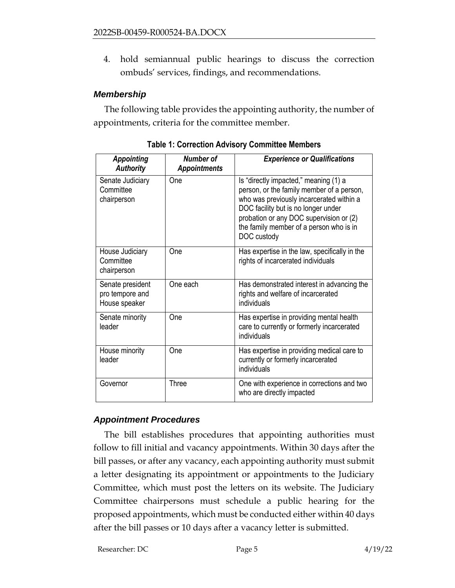4. hold semiannual public hearings to discuss the correction ombuds' services, findings, and recommendations.

#### *Membership*

The following table provides the appointing authority, the number of appointments, criteria for the committee member.

| <b>Appointing</b><br><b>Authority</b>                | Number of<br><b>Appointments</b> | <b>Experience or Qualifications</b>                                                                                                                                                                                                                                        |
|------------------------------------------------------|----------------------------------|----------------------------------------------------------------------------------------------------------------------------------------------------------------------------------------------------------------------------------------------------------------------------|
| Senate Judiciary<br>Committee<br>chairperson         | One                              | Is "directly impacted," meaning (1) a<br>person, or the family member of a person,<br>who was previously incarcerated within a<br>DOC facility but is no longer under<br>probation or any DOC supervision or (2)<br>the family member of a person who is in<br>DOC custody |
| House Judiciary<br>Committee<br>chairperson          | One                              | Has expertise in the law, specifically in the<br>rights of incarcerated individuals                                                                                                                                                                                        |
| Senate president<br>pro tempore and<br>House speaker | One each                         | Has demonstrated interest in advancing the<br>rights and welfare of incarcerated<br>individuals                                                                                                                                                                            |
| Senate minority<br>leader                            | One                              | Has expertise in providing mental health<br>care to currently or formerly incarcerated<br>individuals                                                                                                                                                                      |
| House minority<br>leader                             | One                              | Has expertise in providing medical care to<br>currently or formerly incarcerated<br>individuals                                                                                                                                                                            |
| Governor                                             | Three                            | One with experience in corrections and two<br>who are directly impacted                                                                                                                                                                                                    |

**Table 1: Correction Advisory Committee Members**

## *Appointment Procedures*

The bill establishes procedures that appointing authorities must follow to fill initial and vacancy appointments. Within 30 days after the bill passes, or after any vacancy, each appointing authority must submit a letter designating its appointment or appointments to the Judiciary Committee, which must post the letters on its website. The Judiciary Committee chairpersons must schedule a public hearing for the proposed appointments, which must be conducted either within 40 days after the bill passes or 10 days after a vacancy letter is submitted.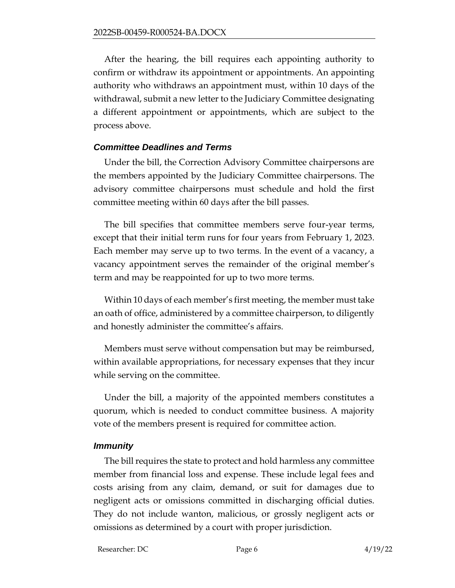After the hearing, the bill requires each appointing authority to confirm or withdraw its appointment or appointments. An appointing authority who withdraws an appointment must, within 10 days of the withdrawal, submit a new letter to the Judiciary Committee designating a different appointment or appointments, which are subject to the process above.

#### *Committee Deadlines and Terms*

Under the bill, the Correction Advisory Committee chairpersons are the members appointed by the Judiciary Committee chairpersons. The advisory committee chairpersons must schedule and hold the first committee meeting within 60 days after the bill passes.

The bill specifies that committee members serve four-year terms, except that their initial term runs for four years from February 1, 2023. Each member may serve up to two terms. In the event of a vacancy, a vacancy appointment serves the remainder of the original member's term and may be reappointed for up to two more terms.

Within 10 days of each member's first meeting, the member must take an oath of office, administered by a committee chairperson, to diligently and honestly administer the committee's affairs.

Members must serve without compensation but may be reimbursed, within available appropriations, for necessary expenses that they incur while serving on the committee.

Under the bill, a majority of the appointed members constitutes a quorum, which is needed to conduct committee business. A majority vote of the members present is required for committee action.

#### *Immunity*

The bill requires the state to protect and hold harmless any committee member from financial loss and expense. These include legal fees and costs arising from any claim, demand, or suit for damages due to negligent acts or omissions committed in discharging official duties. They do not include wanton, malicious, or grossly negligent acts or omissions as determined by a court with proper jurisdiction.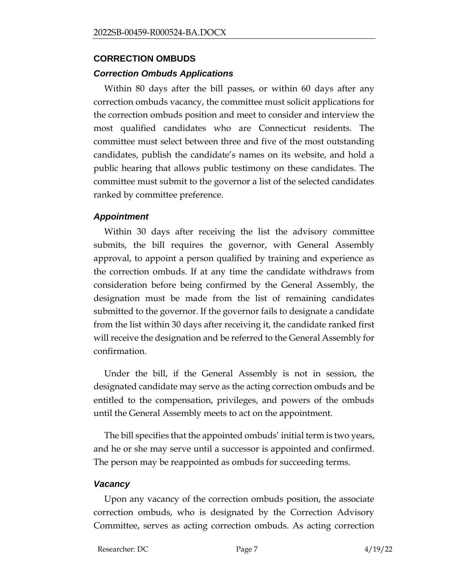# **CORRECTION OMBUDS**

## *Correction Ombuds Applications*

Within 80 days after the bill passes, or within 60 days after any correction ombuds vacancy, the committee must solicit applications for the correction ombuds position and meet to consider and interview the most qualified candidates who are Connecticut residents. The committee must select between three and five of the most outstanding candidates, publish the candidate's names on its website, and hold a public hearing that allows public testimony on these candidates. The committee must submit to the governor a list of the selected candidates ranked by committee preference.

## *Appointment*

Within 30 days after receiving the list the advisory committee submits, the bill requires the governor, with General Assembly approval, to appoint a person qualified by training and experience as the correction ombuds. If at any time the candidate withdraws from consideration before being confirmed by the General Assembly, the designation must be made from the list of remaining candidates submitted to the governor. If the governor fails to designate a candidate from the list within 30 days after receiving it, the candidate ranked first will receive the designation and be referred to the General Assembly for confirmation.

Under the bill, if the General Assembly is not in session, the designated candidate may serve as the acting correction ombuds and be entitled to the compensation, privileges, and powers of the ombuds until the General Assembly meets to act on the appointment.

The bill specifies that the appointed ombuds' initial term is two years, and he or she may serve until a successor is appointed and confirmed. The person may be reappointed as ombuds for succeeding terms.

#### *Vacancy*

Upon any vacancy of the correction ombuds position, the associate correction ombuds, who is designated by the Correction Advisory Committee, serves as acting correction ombuds. As acting correction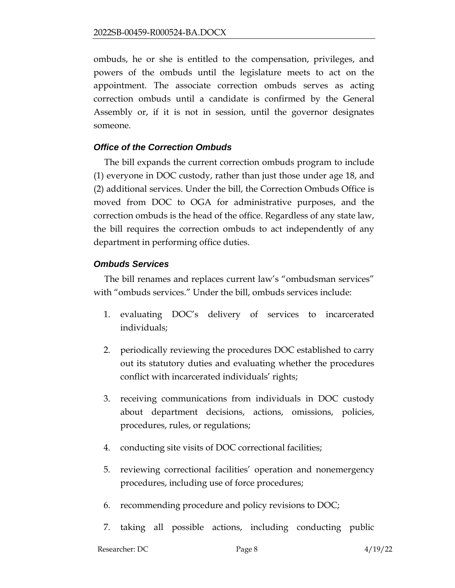ombuds, he or she is entitled to the compensation, privileges, and powers of the ombuds until the legislature meets to act on the appointment. The associate correction ombuds serves as acting correction ombuds until a candidate is confirmed by the General Assembly or, if it is not in session, until the governor designates someone.

## *Office of the Correction Ombuds*

The bill expands the current correction ombuds program to include (1) everyone in DOC custody, rather than just those under age 18, and (2) additional services. Under the bill, the Correction Ombuds Office is moved from DOC to OGA for administrative purposes, and the correction ombuds is the head of the office. Regardless of any state law, the bill requires the correction ombuds to act independently of any department in performing office duties.

## *Ombuds Services*

The bill renames and replaces current law's "ombudsman services" with "ombuds services." Under the bill, ombuds services include:

- 1. evaluating DOC's delivery of services to incarcerated individuals;
- 2. periodically reviewing the procedures DOC established to carry out its statutory duties and evaluating whether the procedures conflict with incarcerated individuals' rights;
- 3. receiving communications from individuals in DOC custody about department decisions, actions, omissions, policies, procedures, rules, or regulations;
- 4. conducting site visits of DOC correctional facilities;
- 5. reviewing correctional facilities' operation and nonemergency procedures, including use of force procedures;
- 6. recommending procedure and policy revisions to DOC;
- 7. taking all possible actions, including conducting public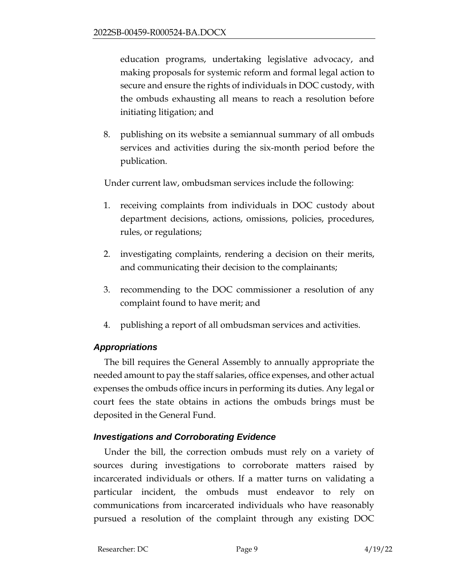education programs, undertaking legislative advocacy, and making proposals for systemic reform and formal legal action to secure and ensure the rights of individuals in DOC custody, with the ombuds exhausting all means to reach a resolution before initiating litigation; and

8. publishing on its website a semiannual summary of all ombuds services and activities during the six-month period before the publication.

Under current law, ombudsman services include the following:

- 1. receiving complaints from individuals in DOC custody about department decisions, actions, omissions, policies, procedures, rules, or regulations;
- 2. investigating complaints, rendering a decision on their merits, and communicating their decision to the complainants;
- 3. recommending to the DOC commissioner a resolution of any complaint found to have merit; and
- 4. publishing a report of all ombudsman services and activities.

## *Appropriations*

The bill requires the General Assembly to annually appropriate the needed amount to pay the staff salaries, office expenses, and other actual expenses the ombuds office incurs in performing its duties. Any legal or court fees the state obtains in actions the ombuds brings must be deposited in the General Fund.

## *Investigations and Corroborating Evidence*

Under the bill, the correction ombuds must rely on a variety of sources during investigations to corroborate matters raised by incarcerated individuals or others. If a matter turns on validating a particular incident, the ombuds must endeavor to rely on communications from incarcerated individuals who have reasonably pursued a resolution of the complaint through any existing DOC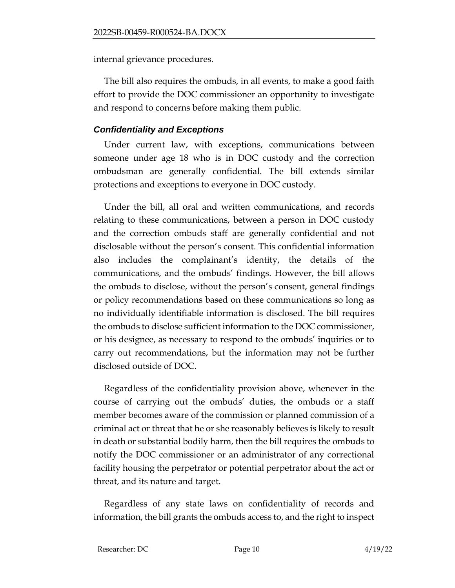internal grievance procedures.

The bill also requires the ombuds, in all events, to make a good faith effort to provide the DOC commissioner an opportunity to investigate and respond to concerns before making them public.

## *Confidentiality and Exceptions*

Under current law, with exceptions, communications between someone under age 18 who is in DOC custody and the correction ombudsman are generally confidential. The bill extends similar protections and exceptions to everyone in DOC custody.

Under the bill, all oral and written communications, and records relating to these communications, between a person in DOC custody and the correction ombuds staff are generally confidential and not disclosable without the person's consent. This confidential information also includes the complainant's identity, the details of the communications, and the ombuds' findings. However, the bill allows the ombuds to disclose, without the person's consent, general findings or policy recommendations based on these communications so long as no individually identifiable information is disclosed. The bill requires the ombuds to disclose sufficient information to the DOC commissioner, or his designee, as necessary to respond to the ombuds' inquiries or to carry out recommendations, but the information may not be further disclosed outside of DOC.

Regardless of the confidentiality provision above, whenever in the course of carrying out the ombuds' duties, the ombuds or a staff member becomes aware of the commission or planned commission of a criminal act or threat that he or she reasonably believes is likely to result in death or substantial bodily harm, then the bill requires the ombuds to notify the DOC commissioner or an administrator of any correctional facility housing the perpetrator or potential perpetrator about the act or threat, and its nature and target.

Regardless of any state laws on confidentiality of records and information, the bill grants the ombuds access to, and the right to inspect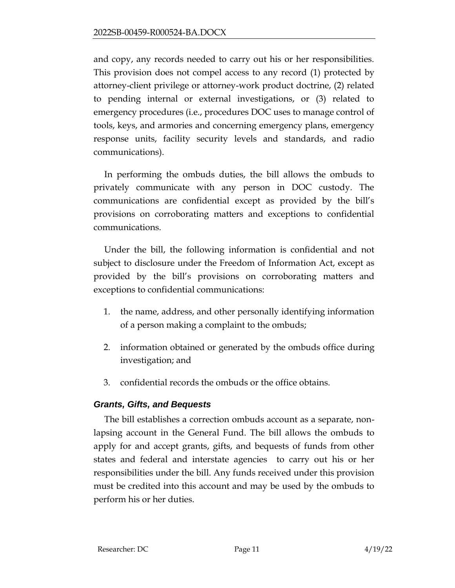and copy, any records needed to carry out his or her responsibilities. This provision does not compel access to any record (1) protected by attorney-client privilege or attorney-work product doctrine, (2) related to pending internal or external investigations, or (3) related to emergency procedures (i.e., procedures DOC uses to manage control of tools, keys, and armories and concerning emergency plans, emergency response units, facility security levels and standards, and radio communications).

In performing the ombuds duties, the bill allows the ombuds to privately communicate with any person in DOC custody. The communications are confidential except as provided by the bill's provisions on corroborating matters and exceptions to confidential communications.

Under the bill, the following information is confidential and not subject to disclosure under the Freedom of Information Act, except as provided by the bill's provisions on corroborating matters and exceptions to confidential communications:

- 1. the name, address, and other personally identifying information of a person making a complaint to the ombuds;
- 2. information obtained or generated by the ombuds office during investigation; and
- 3. confidential records the ombuds or the office obtains.

## *Grants, Gifts, and Bequests*

The bill establishes a correction ombuds account as a separate, nonlapsing account in the General Fund. The bill allows the ombuds to apply for and accept grants, gifts, and bequests of funds from other states and federal and interstate agencies to carry out his or her responsibilities under the bill. Any funds received under this provision must be credited into this account and may be used by the ombuds to perform his or her duties.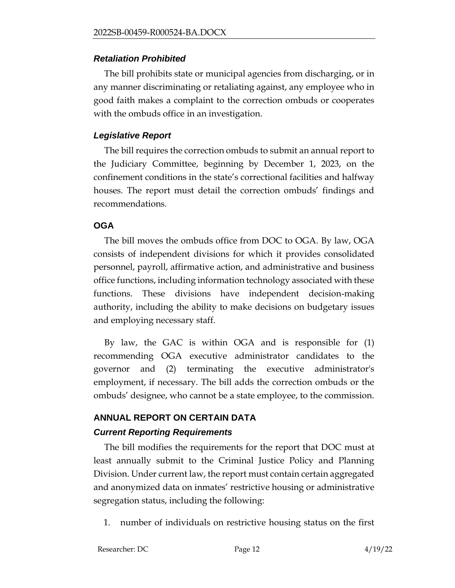#### *Retaliation Prohibited*

The bill prohibits state or municipal agencies from discharging, or in any manner discriminating or retaliating against, any employee who in good faith makes a complaint to the correction ombuds or cooperates with the ombuds office in an investigation.

## *Legislative Report*

The bill requires the correction ombuds to submit an annual report to the Judiciary Committee, beginning by December 1, 2023, on the confinement conditions in the state's correctional facilities and halfway houses. The report must detail the correction ombuds' findings and recommendations.

## **OGA**

The bill moves the ombuds office from DOC to OGA. By law, OGA consists of independent divisions for which it provides consolidated personnel, payroll, affirmative action, and administrative and business office functions, including information technology associated with these functions. These divisions have independent decision-making authority, including the ability to make decisions on budgetary issues and employing necessary staff.

By law, the GAC is within OGA and is responsible for (1) recommending OGA executive administrator candidates to the governor and (2) terminating the executive administrator's employment, if necessary. The bill adds the correction ombuds or the ombuds' designee, who cannot be a state employee, to the commission.

# **ANNUAL REPORT ON CERTAIN DATA**

## *Current Reporting Requirements*

The bill modifies the requirements for the report that DOC must at least annually submit to the Criminal Justice Policy and Planning Division. Under current law, the report must contain certain aggregated and anonymized data on inmates' restrictive housing or administrative segregation status, including the following:

1. number of individuals on restrictive housing status on the first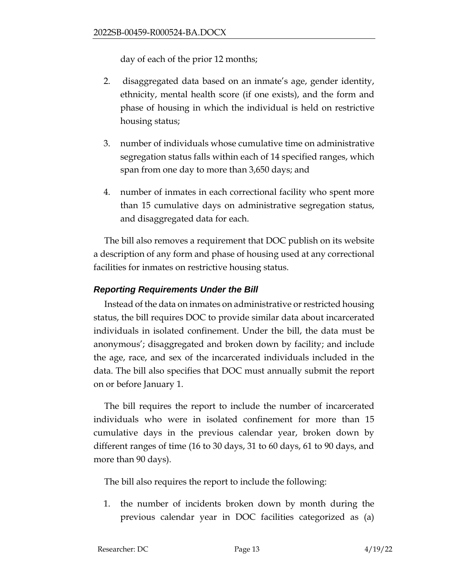day of each of the prior 12 months;

- 2. disaggregated data based on an inmate's age, gender identity, ethnicity, mental health score (if one exists), and the form and phase of housing in which the individual is held on restrictive housing status;
- 3. number of individuals whose cumulative time on administrative segregation status falls within each of 14 specified ranges, which span from one day to more than 3,650 days; and
- 4. number of inmates in each correctional facility who spent more than 15 cumulative days on administrative segregation status, and disaggregated data for each.

The bill also removes a requirement that DOC publish on its website a description of any form and phase of housing used at any correctional facilities for inmates on restrictive housing status.

## *Reporting Requirements Under the Bill*

Instead of the data on inmates on administrative or restricted housing status, the bill requires DOC to provide similar data about incarcerated individuals in isolated confinement. Under the bill, the data must be anonymous'; disaggregated and broken down by facility; and include the age, race, and sex of the incarcerated individuals included in the data. The bill also specifies that DOC must annually submit the report on or before January 1.

The bill requires the report to include the number of incarcerated individuals who were in isolated confinement for more than 15 cumulative days in the previous calendar year, broken down by different ranges of time (16 to 30 days, 31 to 60 days, 61 to 90 days, and more than 90 days).

The bill also requires the report to include the following:

1. the number of incidents broken down by month during the previous calendar year in DOC facilities categorized as (a)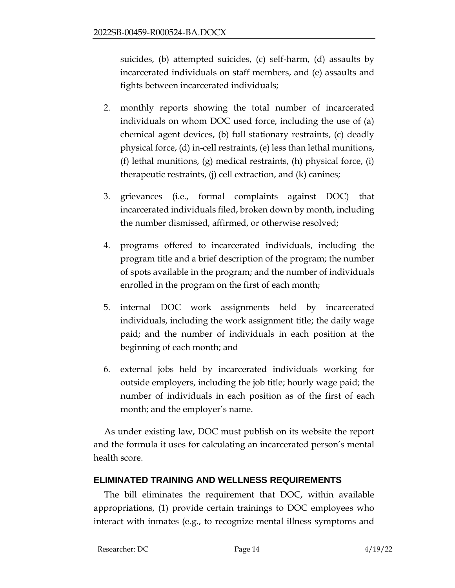suicides, (b) attempted suicides, (c) self-harm, (d) assaults by incarcerated individuals on staff members, and (e) assaults and fights between incarcerated individuals;

- 2. monthly reports showing the total number of incarcerated individuals on whom DOC used force, including the use of (a) chemical agent devices, (b) full stationary restraints, (c) deadly physical force, (d) in-cell restraints, (e) less than lethal munitions, (f) lethal munitions, (g) medical restraints, (h) physical force, (i) therapeutic restraints, (j) cell extraction, and (k) canines;
- 3. grievances (i.e., formal complaints against DOC) that incarcerated individuals filed, broken down by month, including the number dismissed, affirmed, or otherwise resolved;
- 4. programs offered to incarcerated individuals, including the program title and a brief description of the program; the number of spots available in the program; and the number of individuals enrolled in the program on the first of each month;
- 5. internal DOC work assignments held by incarcerated individuals, including the work assignment title; the daily wage paid; and the number of individuals in each position at the beginning of each month; and
- 6. external jobs held by incarcerated individuals working for outside employers, including the job title; hourly wage paid; the number of individuals in each position as of the first of each month; and the employer's name.

As under existing law, DOC must publish on its website the report and the formula it uses for calculating an incarcerated person's mental health score.

## **ELIMINATED TRAINING AND WELLNESS REQUIREMENTS**

The bill eliminates the requirement that DOC, within available appropriations, (1) provide certain trainings to DOC employees who interact with inmates (e.g., to recognize mental illness symptoms and